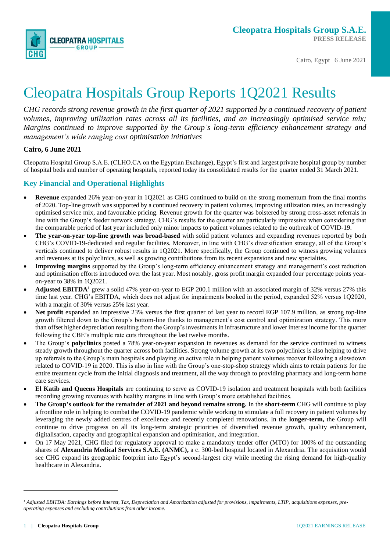

# Cleopatra Hospitals Group Reports 1Q2021 Results

*CHG records strong revenue growth in the first quarter of 2021 supported by a continued recovery of patient volumes, improving utilization rates across all its facilities, and an increasingly optimised service mix; Margins continued to improve supported by the Group's long-term efficiency enhancement strategy and management's wide ranging cost optimisation initiatives*

#### **Cairo, 6 June 2021**

Cleopatra Hospital Group S.A.E. (CLHO.CA on the Egyptian Exchange), Egypt's first and largest private hospital group by number of hospital beds and number of operating hospitals, reported today its consolidated results for the quarter ended 31 March 2021.

#### **Key Financial and Operational Highlights**

- **Revenue** expanded 26% year-on-year in 1Q2021 as CHG continued to build on the strong momentum from the final months of 2020. Top-line growth was supported by a continued recovery in patient volumes, improving utilization rates, an increasingly optimised service mix, and favourable pricing. Revenue growth for the quarter was bolstered by strong cross-asset referrals in line with the Group's feeder network strategy. CHG's results for the quarter are particularly impressive when considering that the comparable period of last year included only minor impacts to patient volumes related to the outbreak of COVID-19.
- **The year-on-year top-line growth was broad-based** with solid patient volumes and expanding revenues reported by both CHG's COVID-19-dedicated and regular facilities. Moreover, in line with CHG's diversification strategy, all of the Group's verticals continued to deliver robust results in 1Q2021. More specifically, the Group continued to witness growing volumes and revenues at its polyclinics, as well as growing contributions from its recent expansions and new specialties.
- **Improving margins** supported by the Group's long-term efficiency enhancement strategy and management's cost reduction and optimisation efforts introduced over the last year. Most notably, gross profit margin expanded four percentage points yearon-year to 38% in 1Q2021.
- **Adjusted EBITDA<sup>1</sup>** grew a solid 47% year-on-year to EGP 200.1 million with an associated margin of 32% versus 27% this time last year. CHG's EBITDA, which does not adjust for impairments booked in the period, expanded 52% versus 1Q2020, with a margin of 30% versus 25% last year.
- **Net profit** expanded an impressive 23% versus the first quarter of last year to record EGP 107.9 million, as strong top-line growth filtered down to the Group's bottom-line thanks to management's cost control and optimization strategy. This more than offset higher depreciation resulting from the Group's investments in infrastructure and lower interest income for the quarter following the CBE's multiple rate cuts throughout the last twelve months.
- The Group's **polyclinics** posted a 78% year-on-year expansion in revenues as demand for the service continued to witness steady growth throughout the quarter across both facilities. Strong volume growth at its two polyclinics is also helping to drive up referrals to the Group's main hospitals and playing an active role in helping patient volumes recover following a slowdown related to COVID-19 in 2020. This is also in line with the Group's one-stop-shop strategy which aims to retain patients for the entire treatment cycle from the initial diagnosis and treatment, all the way through to providing pharmacy and long-term home care services.
- **El Katib and Queens Hospitals** are continuing to serve as COVID-19 isolation and treatment hospitals with both facilities recording growing revenues with healthy margins in line with Group's more established facilities.
- **The Group's outlook for the remainder of 2021 and beyond remains strong.** In the **short-term** CHG will continue to play a frontline role in helping to combat the COVID-19 pandemic while working to stimulate a full recovery in patient volumes by leveraging the newly added centres of excellence and recently completed renovations. In the **longer-term,** the Group will continue to drive progress on all its long-term strategic priorities of diversified revenue growth, quality enhancement, digitalisation, capacity and geographical expansion and optimisation, and integration.
- On 17 May 2021, CHG filed for regulatory approval to make a mandatory tender offer (MTO) for 100% of the outstanding shares of **Alexandria Medical Services S.A.E. (ANMC),** a c. 300-bed hospital located in Alexandria. The acquisition would see CHG expand its geographic footprint into Egypt's second-largest city while meeting the rising demand for high-quality healthcare in Alexandria.

<sup>&</sup>lt;sup>1</sup> Adjusted EBITDA: Earnings before Interest, Tax, Depreciation and Amortization adjusted for provisions, impairments, LTIP, acquisitions expenses, pre*operating expenses and excluding contributions from other income.*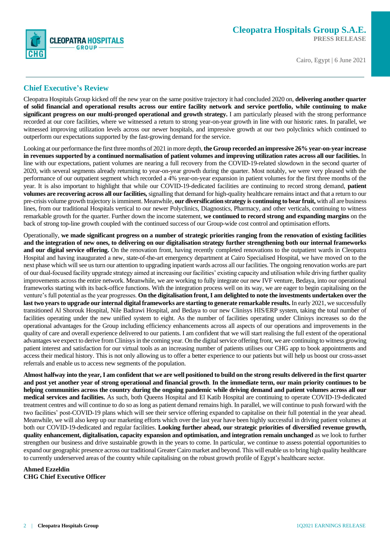

#### **Chief Executive's Review**

Cleopatra Hospitals Group kicked off the new year on the same positive trajectory it had concluded 2020 on, **delivering another quarter of solid financial and operational results across our entire facility network and service portfolio, while continuing to make significant progress on our multi-pronged operational and growth strategy.** I am particularly pleased with the strong performance recorded at our core facilities, where we witnessed a return to strong year-on-year growth in line with our historic rates. In parallel, we witnessed improving utilization levels across our newer hospitals, and impressive growth at our two polyclinics which continued to outperform our expectations supported by the fast-growing demand for the service.

Looking at our performance the first three months of 2021 in more depth, **the Group recorded an impressive 26% year-on-year increase in revenues supported by a continued normalisation of patient volumes and improving utilization rates across all our facilities.** In line with our expectations, patient volumes are nearing a full recovery from the COVID-19-related slowdown in the second quarter of 2020, with several segments already returning to year-on-year growth during the quarter. Most notably, we were very pleased with the performance of our outpatient segment which recorded a 4% year-on-year expansion in patient volumes for the first three months of the year. It is also important to highlight that while our COVID-19-dedicated facilities are continuing to record strong demand, **patient volumes are recovering across all our facilities,** signalling that demand for high-quality healthcare remains intact and that a return to our pre-crisis volume growth trajectory is imminent. Meanwhile, **our diversification strategy is continuing to bear fruit,** with all are business lines, from our traditional Hospitals vertical to our newer Polyclinics, Diagnostics, Pharmacy, and other verticals, continuing to witness remarkable growth for the quarter. Further down the income statement, **we continued to record strong and expanding margins** on the back of strong top-line growth coupled with the continued success of our Group-wide cost control and optimisation efforts.

Operationally, **we made significant progress on a number of strategic priorities ranging from the renovation of existing facilities and the integration of new ones, to delivering on our digitalisation strategy further strengthening both our internal frameworks and our digital service offering.** On the renovation front, having recently completed renovations to the outpatient wards in Cleopatra Hospital and having inaugurated a new, state-of-the-art emergency department at Cairo Specialised Hospital, we have moved on to the next phase which will see us turn our attention to upgrading inpatient wards across all our facilities. The ongoing renovation works are part of our dual-focused facility upgrade strategy aimed at increasing our facilities' existing capacity and utilisation while driving further quality improvements across the entire network. Meanwhile, we are working to fully integrate our new IVF venture, Bedaya, into our operational frameworks starting with its back-office functions. With the integration process well on its way, we are eager to begin capitalising on the venture's full potential as the year progresses. **On the digitalisation front, I am delighted to note the investments undertaken over the last two yearsto upgrade our internal digital frameworks are starting to generate remarkable results.** In early 2021, we successfully transitioned Al Shorouk Hospital, Nile Badrawi Hospital, and Bedaya to our new Clinisys HIS/ERP system, taking the total number of facilities operating under the new unified system to eight. As the number of facilities operating under Clinisys increases so do the operational advantages for the Group including efficiency enhancements across all aspects of our operations and improvements in the quality of care and overall experience delivered to our patients. I am confident that we will start realising the full extent of the operational advantages we expect to derive from Clinisysin the coming year. On the digital service offering front, we are continuing to witness growing patient interest and satisfaction for our virtual tools as an increasing number of patients utilises our CHG app to book appointments and access their medical history. This is not only allowing us to offer a better experience to our patients but will help us boost our cross-asset referrals and enable us to access new segments of the population.

**Almost halfway into the year, I am confident that we are well positioned to build on the strong results delivered in the first quarter and post yet another year of strong operational and financial growth**. **In the immediate term, our main priority continues to be helping communities across the country during the ongoing pandemic while driving demand and patient volumes across all our medical services and facilities.** As such, both Queens Hospital and El Katib Hospital are continuing to operate COVID-19-dedicated treatment centres and will continue to do so as long as patient demand remains high. In parallel, we will continue to push forward with the two facilities' post-COVID-19 plans which will see their service offering expanded to capitalise on their full potential in the year ahead. Meanwhile, we will also keep up our marketing efforts which over the last year have been highly successful in driving patient volumes at both our COVID-19-dedicated and regular facilities. **Looking further ahead, our strategic priorities of diversified revenue growth, quality enhancement, digitalisation, capacity expansion and optimisation, and integration remain unchanged** as we look to further strengthen our business and drive sustainable growth in the years to come. In particular, we continue to assess potential opportunities to expand our geographic presence across our traditional Greater Cairo market and beyond. This will enable us to bring high quality healthcare to currently underserved areas of the country while capitalising on the robust growth profile of Egypt's healthcare sector.

**Ahmed Ezzeldin CHG Chief Executive Officer**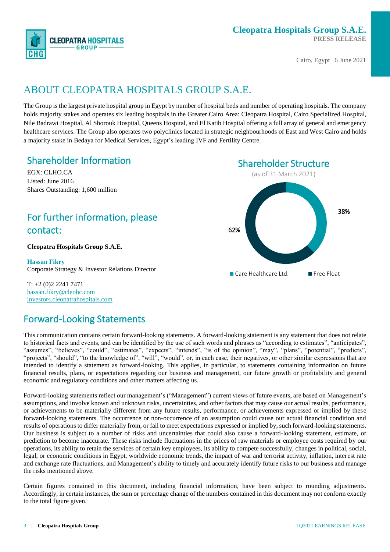

## ABOUT CLEOPATRA HOSPITALS GROUP S.A.E.

The Group is the largest private hospital group in Egypt by number of hospital beds and number of operating hospitals. The company holds majority stakes and operates six leading hospitals in the Greater Cairo Area: Cleopatra Hospital, Cairo Specialized Hospital, Nile Badrawi Hospital, Al Shorouk Hospital, Queens Hospital, and El Katib Hospital offering a full array of general and emergency healthcare services. The Group also operates two polyclinics located in strategic neighbourhoods of East and West Cairo and holds a majority stake in Bedaya for Medical Services, Egypt's leading IVF and Fertility Centre.

## Shareholder Information

EGX: CLHO.CA Listed: June 2016 Shares Outstanding: 1,600 million

## For further information, please contact:

#### **Cleopatra Hospitals Group S.A.E.**

**Hassan Fikry** Corporate Strategy & Investor Relations Director

T: +2 (0)2 2241 7471 [hassan.fikry@cleohc.com](mailto:ir@cleopatrahospital.com) [investors.cleopatrahospitals.com](file://///server2/Inktank%20Work%20II/1.%20Clients/Cleopatra%20Healthcare/CLEO%20Quarterly%20financial%20reporting/CLEO%20ER%202016%20Q1/investors.cleopatrahospitals.com)

### Forward-Looking Statements

This communication contains certain forward-looking statements. A forward-looking statement is any statement that does not relate to historical facts and events, and can be identified by the use of such words and phrases as "according to estimates", "anticipates", "assumes", "believes", "could", "estimates", "expects", "intends", "is of the opinion", "may", "plans", "potential", "predicts", "projects", "should", "to the knowledge of", "will", "would", or, in each case, their negatives, or other similar expressions that are intended to identify a statement as forward-looking. This applies, in particular, to statements containing information on future financial results, plans, or expectations regarding our business and management, our future growth or profitability and general economic and regulatory conditions and other matters affecting us.

Forward-looking statements reflect our management's ("Management") current views of future events, are based on Management's assumptions, and involve known and unknown risks, uncertainties, and other factors that may cause our actual results, performance, or achievements to be materially different from any future results, performance, or achievements expressed or implied by these forward-looking statements. The occurrence or non-occurrence of an assumption could cause our actual financial condition and results of operations to differ materially from, or fail to meet expectations expressed or implied by, such forward-looking statements. Our business is subject to a number of risks and uncertainties that could also cause a forward-looking statement, estimate, or prediction to become inaccurate. These risks include fluctuations in the prices of raw materials or employee costs required by our operations, its ability to retain the services of certain key employees, its ability to compete successfully, changes in political, social, legal, or economic conditions in Egypt, worldwide economic trends, the impact of war and terrorist activity, inflation, interest rate and exchange rate fluctuations, and Management's ability to timely and accurately identify future risks to our business and manage the risks mentioned above.

Certain figures contained in this document, including financial information, have been subject to rounding adjustments. Accordingly, in certain instances, the sum or percentage change of the numbers contained in this document may not conform exactly to the total figure given.

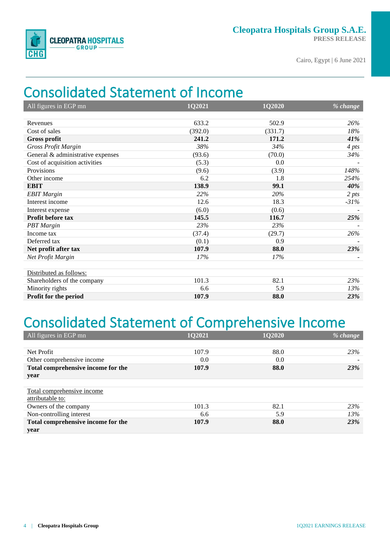

# Consolidated Statement of Income

| All figures in EGP mn             | 1Q2021  | 1Q2020  | % change         |
|-----------------------------------|---------|---------|------------------|
|                                   |         |         |                  |
| Revenues                          | 633.2   | 502.9   | 26%              |
| Cost of sales                     | (392.0) | (331.7) | 18%              |
| <b>Gross profit</b>               | 241.2   | 171.2   | 41%              |
| <b>Gross Profit Margin</b>        | 38%     | 34%     | 4 pts            |
| General & administrative expenses | (93.6)  | (70.0)  | 34%              |
| Cost of acquisition activities    | (5.3)   | 0.0     |                  |
| Provisions                        | (9.6)   | (3.9)   | 148%             |
| Other income                      | 6.2     | 1.8     | 254%             |
| <b>EBIT</b>                       | 138.9   | 99.1    | 40%              |
| <b>EBIT</b> Margin                | 22%     | 20%     | 2 <sub>pts</sub> |
| Interest income                   | 12.6    | 18.3    | $-31%$           |
| Interest expense                  | (6.0)   | (0.6)   |                  |
| Profit before tax                 | 145.5   | 116.7   | 25%              |
| <b>PBT</b> Margin                 | 23%     | 23%     |                  |
| Income tax                        | (37.4)  | (29.7)  | 26%              |
| Deferred tax                      | (0.1)   | 0.9     |                  |
| Net profit after tax              | 107.9   | 88.0    | 23%              |
| Net Profit Margin                 | 17%     | 17%     |                  |
|                                   |         |         |                  |
| Distributed as follows:           |         |         |                  |
| Shareholders of the company       | 101.3   | 82.1    | 23%              |
| Minority rights                   | 6.6     | 5.9     | 13%              |
| Profit for the period             | 107.9   | 88.0    | 23%              |

# Consolidated Statement of Comprehensive Income

| All figures in EGP mn              | 102021 | <b>1Q2020</b> | $\frac{9}{6}$ change |
|------------------------------------|--------|---------------|----------------------|
|                                    |        |               |                      |
| Net Profit                         | 107.9  | 88.0          | 23%                  |
| Other comprehensive income         | 0.0    | 0.0           |                      |
| Total comprehensive income for the | 107.9  | 88.0          | 23%                  |
| year                               |        |               |                      |
|                                    |        |               |                      |
| Total comprehensive income         |        |               |                      |
| attributable to:                   |        |               |                      |
| Owners of the company              | 101.3  | 82.1          | 23%                  |
| Non-controlling interest           | 6.6    | 5.9           | 13%                  |
| Total comprehensive income for the | 107.9  | 88.0          | 23%                  |
| year                               |        |               |                      |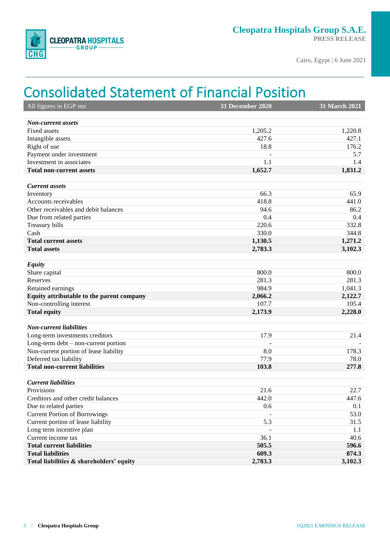

## Consolidated Statement of Financial Position

| All figures in EGP mn                     | <b>31 December 2020</b> | <b>31 March 2021</b> |
|-------------------------------------------|-------------------------|----------------------|
|                                           |                         |                      |
| <b>Non-current assets</b>                 |                         |                      |
| <b>Fixed assets</b>                       | 1,205.2                 | 1,220.8              |
| Intangible assets                         | 427.6                   | 427.1                |
| Right of use                              | 18.8                    | 176.2                |
| Payment under investment                  |                         | 5.7                  |
| Investment in associates                  | 1.1                     | 1.4                  |
| <b>Total non-current assets</b>           | 1,652.7                 | 1,831.2              |
|                                           |                         |                      |
| <b>Current</b> assets                     |                         |                      |
| Inventory                                 | 66.3                    | 65.9                 |
| Accounts receivables                      | 418.8                   | 441.0                |
| Other receivables and debit balances      | 94.6                    | 86.2                 |
| Due from related parties                  | 0.4                     | 0.4                  |
| Treasury bills                            | 220.6                   | 332.8                |
| Cash                                      | 330.0                   | 344.8                |
| <b>Total current assets</b>               | 1,130.5                 | 1,271.2              |
| <b>Total assets</b>                       | 2,783.3                 | 3,102.3              |
| <b>Equity</b>                             |                         |                      |
| Share capital                             | 800.0                   | 800.0                |
| Reserves                                  | 281.3                   | 281.3                |
| Retained earnings                         | 984.9                   | 1,041.3              |
| Equity attributable to the parent company | 2,066.2                 | 2,122.7              |
| Non-controlling interest                  | 107.7                   | 105.4                |
| <b>Total equity</b>                       | 2,173.9                 | 2,228.0              |
|                                           |                         |                      |
| <b>Non-current liabilities</b>            |                         |                      |
| Long-term investments creditors           | 17.9                    | 21.4                 |
| Long-term $debt$ – non-current portion    |                         |                      |
| Non-current portion of lease liability    | 8.0                     | 178.3                |
| Deferred tax liability                    | 77.9                    | 78.0                 |
| <b>Total non-current liabilities</b>      | 103.8                   | 277.8                |
|                                           |                         |                      |
| <b>Current liabilities</b>                |                         |                      |
| Provisions                                | 21.6                    | 22.7                 |
| Creditors and other credit balances       | 442.0                   | 447.6                |
| Due to related parties                    | 0.6                     | 0.1                  |
| <b>Current Portion of Borrowings</b>      |                         | 53.0                 |
| Current portion of lease liability        | 5.3                     | 31.5                 |
| Long term incentive plan                  |                         | 1.1                  |
| Current income tax                        | 36.1                    | 40.6                 |
| <b>Total current liabilities</b>          | 505.5                   | 596.6                |
| <b>Total liabilities</b>                  | 609.3                   | 874.3                |
| Total liabilities & shareholders' equity  | 2,783.3                 | 3,102.3              |